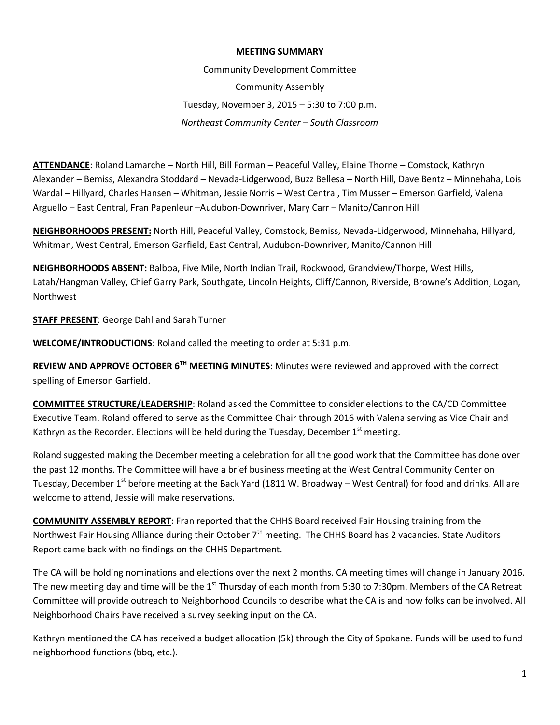## **MEETING SUMMARY**

Community Development Committee

Community Assembly

Tuesday, November 3, 2015 – 5:30 to 7:00 p.m.

*Northeast Community Center – South Classroom*

**ATTENDANCE**: Roland Lamarche – North Hill, Bill Forman – Peaceful Valley, Elaine Thorne – Comstock, Kathryn Alexander – Bemiss, Alexandra Stoddard – Nevada-Lidgerwood, Buzz Bellesa – North Hill, Dave Bentz – Minnehaha, Lois Wardal – Hillyard, Charles Hansen – Whitman, Jessie Norris – West Central, Tim Musser – Emerson Garfield, Valena Arguello – East Central, Fran Papenleur –Audubon-Downriver, Mary Carr – Manito/Cannon Hill

**NEIGHBORHOODS PRESENT:** North Hill, Peaceful Valley, Comstock, Bemiss, Nevada-Lidgerwood, Minnehaha, Hillyard, Whitman, West Central, Emerson Garfield, East Central, Audubon-Downriver, Manito/Cannon Hill

**NEIGHBORHOODS ABSENT:** Balboa, Five Mile, North Indian Trail, Rockwood, Grandview/Thorpe, West Hills, Latah/Hangman Valley, Chief Garry Park, Southgate, Lincoln Heights, Cliff/Cannon, Riverside, Browne's Addition, Logan, Northwest

**STAFF PRESENT**: George Dahl and Sarah Turner

**WELCOME/INTRODUCTIONS**: Roland called the meeting to order at 5:31 p.m.

**REVIEW AND APPROVE OCTOBER 6TH MEETING MINUTES**: Minutes were reviewed and approved with the correct spelling of Emerson Garfield.

**COMMITTEE STRUCTURE/LEADERSHIP**: Roland asked the Committee to consider elections to the CA/CD Committee Executive Team. Roland offered to serve as the Committee Chair through 2016 with Valena serving as Vice Chair and Kathryn as the Recorder. Elections will be held during the Tuesday, December  $1<sup>st</sup>$  meeting.

Roland suggested making the December meeting a celebration for all the good work that the Committee has done over the past 12 months. The Committee will have a brief business meeting at the West Central Community Center on Tuesday, December 1<sup>st</sup> before meeting at the Back Yard (1811 W. Broadway – West Central) for food and drinks. All are welcome to attend, Jessie will make reservations.

**COMMUNITY ASSEMBLY REPORT**: Fran reported that the CHHS Board received Fair Housing training from the Northwest Fair Housing Alliance during their October  $7<sup>th</sup>$  meeting. The CHHS Board has 2 vacancies. State Auditors Report came back with no findings on the CHHS Department.

The CA will be holding nominations and elections over the next 2 months. CA meeting times will change in January 2016. The new meeting day and time will be the 1<sup>st</sup> Thursday of each month from 5:30 to 7:30pm. Members of the CA Retreat Committee will provide outreach to Neighborhood Councils to describe what the CA is and how folks can be involved. All Neighborhood Chairs have received a survey seeking input on the CA.

Kathryn mentioned the CA has received a budget allocation (5k) through the City of Spokane. Funds will be used to fund neighborhood functions (bbq, etc.).